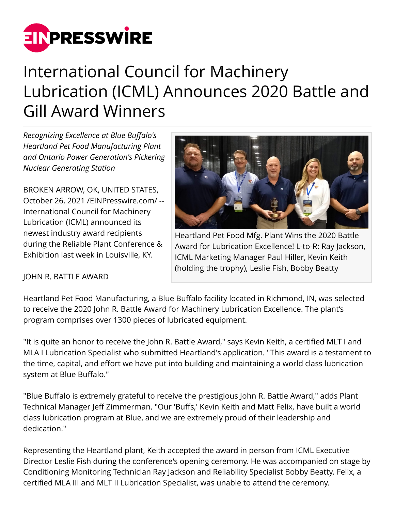

# International Council for Machinery Lubrication (ICML) Announces 2020 Battle and Gill Award Winners

*Recognizing Excellence at Blue Buffalo's Heartland Pet Food Manufacturing Plant and Ontario Power Generation's Pickering Nuclear Generating Station*

BROKEN ARROW, OK, UNITED STATES, October 26, 2021 [/EINPresswire.com](http://www.einpresswire.com)/ -- International Council for Machinery Lubrication (ICML) announced its newest industry award recipients during the Reliable Plant Conference & Exhibition last week in Louisville, KY.



Heartland Pet Food Mfg. Plant Wins the 2020 Battle Award for Lubrication Excellence! L-to-R: Ray Jackson, ICML Marketing Manager Paul Hiller, Kevin Keith (holding the trophy), Leslie Fish, Bobby Beatty

## JOHN R. BATTLE AWARD

Heartland Pet Food Manufacturing, a Blue Buffalo facility located in Richmond, IN, was selected to receive the 2020 John R. Battle Award for Machinery Lubrication Excellence. The plant's program comprises over 1300 pieces of lubricated equipment.

"It is quite an honor to receive the John R. Battle Award," says Kevin Keith, a certified MLT I and MLA I Lubrication Specialist who submitted Heartland's application. "This award is a testament to the time, capital, and effort we have put into building and maintaining a world class lubrication system at Blue Buffalo."

"Blue Buffalo is extremely grateful to receive the prestigious John R. Battle Award," adds Plant Technical Manager Jeff Zimmerman. "Our 'Buffs,' Kevin Keith and Matt Felix, have built a world class lubrication program at Blue, and we are extremely proud of their leadership and dedication."

Representing the Heartland plant, Keith accepted the award in person from ICML Executive Director Leslie Fish during the conference's opening ceremony. He was accompanied on stage by Conditioning Monitoring Technician Ray Jackson and Reliability Specialist Bobby Beatty. Felix, a certified MLA III and MLT II Lubrication Specialist, was unable to attend the ceremony.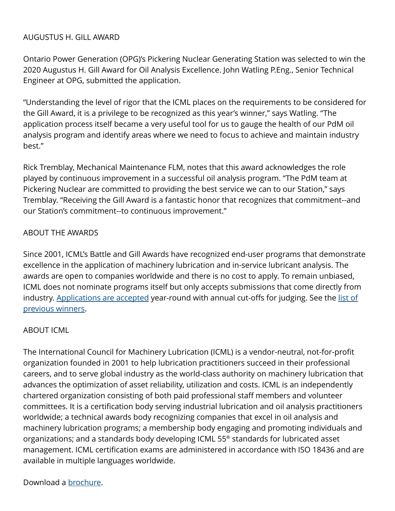### AUGUSTUS H. GILL AWARD

Ontario Power Generation (OPG)'s Pickering Nuclear Generating Station was selected to win the 2020 Augustus H. Gill Award for Oil Analysis Excellence. John Watling P.Eng., Senior Technical Engineer at OPG, submitted the application.

"Understanding the level of rigor that the ICML places on the requirements to be considered for the Gill Award, it is a privilege to be recognized as this year's winner," says Watling. "The application process itself became a very useful tool for us to gauge the health of our PdM oil analysis program and identify areas where we need to focus to achieve and maintain industry best."

Rick Tremblay, Mechanical Maintenance FLM, notes that this award acknowledges the role played by continuous improvement in a successful oil analysis program. "The PdM team at Pickering Nuclear are committed to providing the best service we can to our Station," says Tremblay. "Receiving the Gill Award is a fantastic honor that recognizes that commitment--and our Station's commitment--to continuous improvement."

#### ABOUT THE AWARDS

Since 2001, ICML's Battle and Gill Awards have recognized end-user programs that demonstrate excellence in the application of machinery lubrication and in-service lubricant analysis. The awards are open to companies worldwide and there is no cost to apply. To remain unbiased, ICML does not nominate programs itself but only accepts submissions that come directly from industry. [Applications are accepted](https://www.icmlonline.com/awards.aspx) year-round with annual cut-offs for judging. See the [list of](https://info.lubecouncil.org/awards/) [previous winners](https://info.lubecouncil.org/awards/).

#### ABOUT ICML

The International Council for Machinery Lubrication (ICML) is a vendor-neutral, not-for-profit organization founded in 2001 to help lubrication practitioners succeed in their professional careers, and to serve global industry as the world-class authority on machinery lubrication that advances the optimization of asset reliability, utilization and costs. ICML is an independently chartered organization consisting of both paid professional staff members and volunteer committees. It is a certification body serving industrial lubrication and oil analysis practitioners worldwide; a technical awards body recognizing companies that excel in oil analysis and machinery lubrication programs; a membership body engaging and promoting individuals and organizations; and a standards body developing ICML 55® standards for lubricated asset management. ICML certification exams are administered in accordance with ISO 18436 and are available in multiple languages worldwide.

#### Download a [brochure.](https://info.lubecouncil.org/wp-content/uploads/2020/03/Brochure_021820_English_single-pages_ICML-web.pdf)